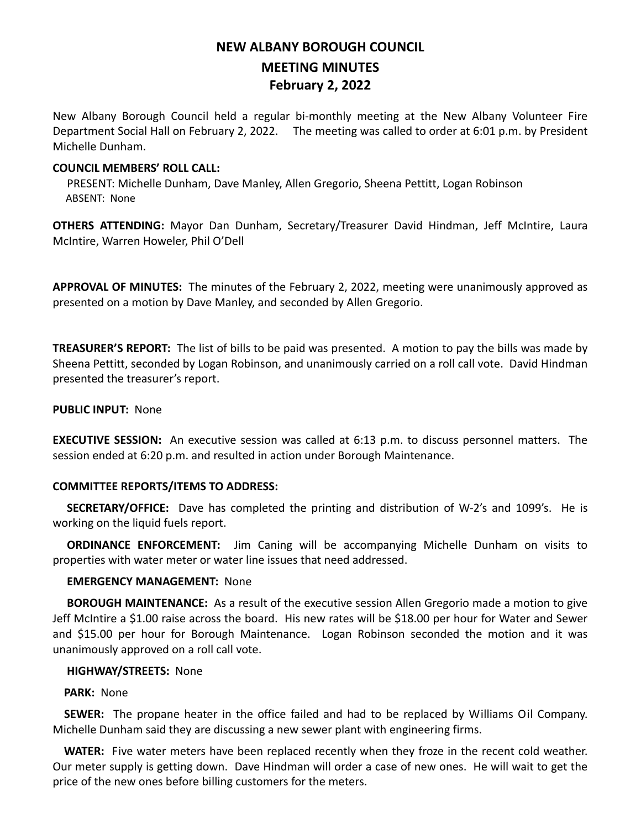# **NEW ALBANY BOROUGH COUNCIL MEETING MINUTES February 2, 2022**

New Albany Borough Council held a regular bi-monthly meeting at the New Albany Volunteer Fire Department Social Hall on February 2, 2022. The meeting was called to order at 6:01 p.m. by President Michelle Dunham.

## **COUNCIL MEMBERS' ROLL CALL:**

PRESENT: Michelle Dunham, Dave Manley, Allen Gregorio, Sheena Pettitt, Logan Robinson ABSENT: None

**OTHERS ATTENDING:** Mayor Dan Dunham, Secretary/Treasurer David Hindman, Jeff McIntire, Laura McIntire, Warren Howeler, Phil O'Dell

**APPROVAL OF MINUTES:** The minutes of the February 2, 2022, meeting were unanimously approved as presented on a motion by Dave Manley, and seconded by Allen Gregorio.

**TREASURER'S REPORT:** The list of bills to be paid was presented. A motion to pay the bills was made by Sheena Pettitt, seconded by Logan Robinson, and unanimously carried on a roll call vote. David Hindman presented the treasurer's report.

#### **PUBLIC INPUT:** None

**EXECUTIVE SESSION:** An executive session was called at 6:13 p.m. to discuss personnel matters. The session ended at 6:20 p.m. and resulted in action under Borough Maintenance.

### **COMMITTEE REPORTS/ITEMS TO ADDRESS:**

 **SECRETARY/OFFICE:** Dave has completed the printing and distribution of W-2's and 1099's. He is working on the liquid fuels report.

 **ORDINANCE ENFORCEMENT:** Jim Caning will be accompanying Michelle Dunham on visits to properties with water meter or water line issues that need addressed.

## **EMERGENCY MANAGEMENT:** None

 **BOROUGH MAINTENANCE:** As a result of the executive session Allen Gregorio made a motion to give Jeff McIntire a \$1.00 raise across the board. His new rates will be \$18.00 per hour for Water and Sewer and \$15.00 per hour for Borough Maintenance. Logan Robinson seconded the motion and it was unanimously approved on a roll call vote.

#### **HIGHWAY/STREETS:** None

### **PARK:** None

 **SEWER:** The propane heater in the office failed and had to be replaced by Williams Oil Company. Michelle Dunham said they are discussing a new sewer plant with engineering firms.

 **WATER:** Five water meters have been replaced recently when they froze in the recent cold weather. Our meter supply is getting down. Dave Hindman will order a case of new ones. He will wait to get the price of the new ones before billing customers for the meters.